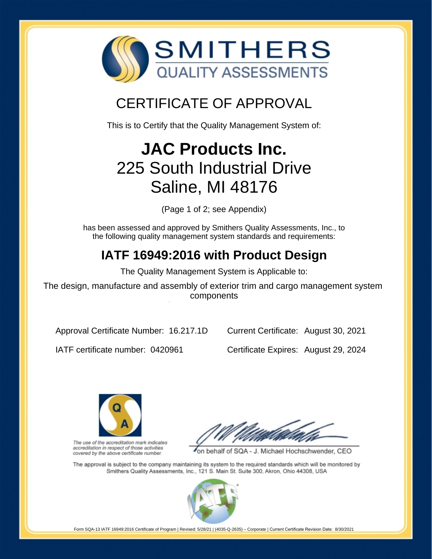

# CERTIFICATE OF APPROVAL

This is to Certify that the Quality Management System of:

# **JAC Products Inc.** 225 South Industrial Drive Saline, MI 48176

(Page 1 of 2; see Appendix)

has been assessed and approved by Smithers Quality Assessments, Inc., to the following quality management system standards and requirements:

## **IATF 16949:2016 with Product Design**

The Quality Management System is Applicable to:

The design, manufacture and assembly of exterior trim and cargo management system components

Approval Certificate Number: 16.217.1D

Current Certificate: August 30, 2021

IATF certificate number: 0420961

Certificate Expires: August 29, 2024



The use of the accreditation mark indicates accreditation in respect of those activities covered by the above certificate number.

on behalf of SQA - J. Michael Hochschwender, CEO

The approval is subject to the company maintaining its system to the required standards which will be monitored by Smithers Quality Assessments, Inc., 121 S. Main St. Suite 300, Akron, Ohio 44308, USA